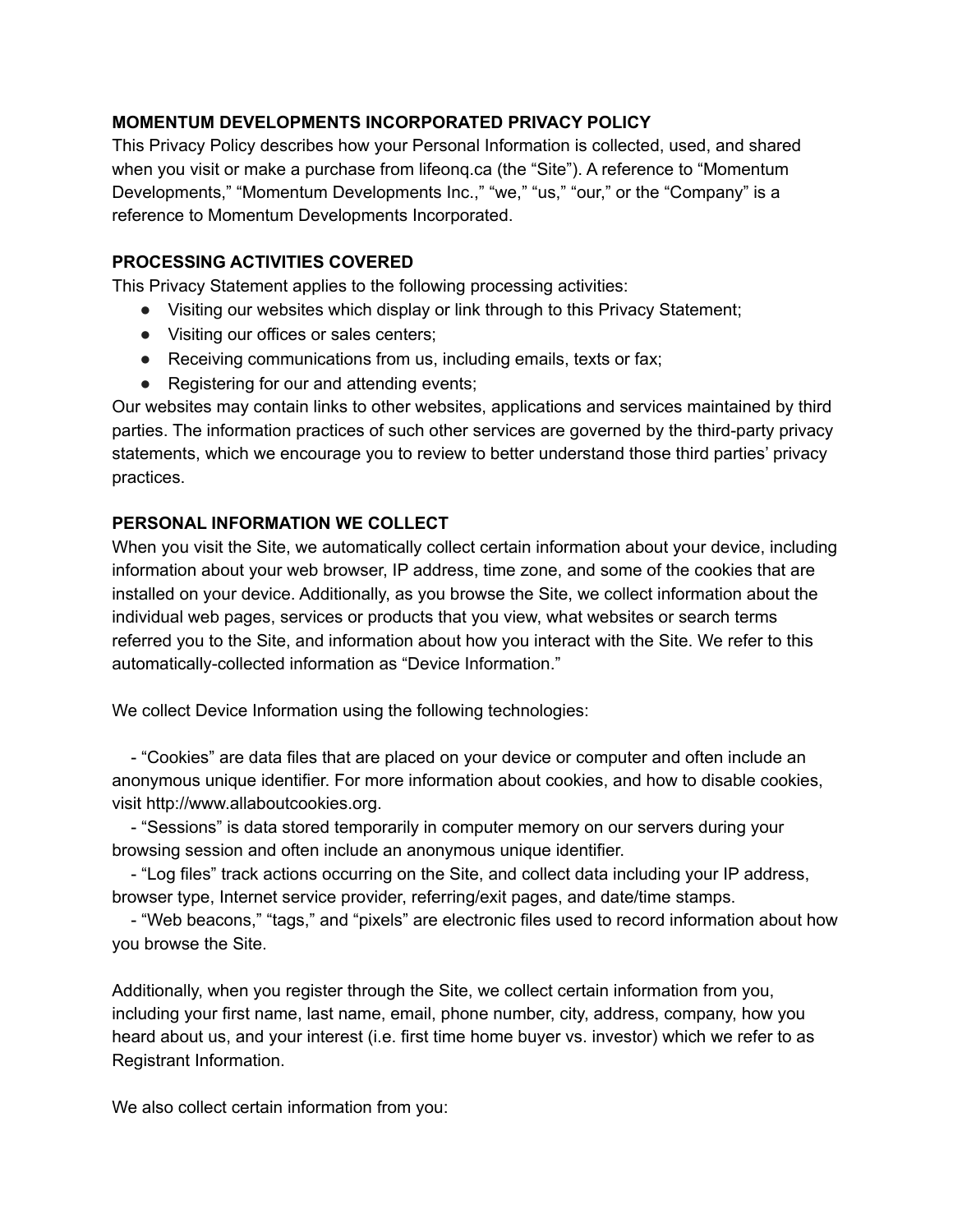## **MOMENTUM DEVELOPMENTS INCORPORATED PRIVACY POLICY**

This Privacy Policy describes how your Personal Information is collected, used, and shared when you visit or make a purchase from lifeonq.ca (the "Site"). A reference to "Momentum Developments," "Momentum Developments Inc.," "we," "us," "our," or the "Company" is a reference to Momentum Developments Incorporated.

## **PROCESSING ACTIVITIES COVERED**

This Privacy Statement applies to the following processing activities:

- Visiting our websites which display or link through to this Privacy Statement;
- Visiting our offices or sales centers;
- Receiving communications from us, including emails, texts or fax;
- Registering for our and attending events;

Our websites may contain links to other websites, applications and services maintained by third parties. The information practices of such other services are governed by the third-party privacy statements, which we encourage you to review to better understand those third parties' privacy practices.

## **PERSONAL INFORMATION WE COLLECT**

When you visit the Site, we automatically collect certain information about your device, including information about your web browser, IP address, time zone, and some of the cookies that are installed on your device. Additionally, as you browse the Site, we collect information about the individual web pages, services or products that you view, what websites or search terms referred you to the Site, and information about how you interact with the Site. We refer to this automatically-collected information as "Device Information."

We collect Device Information using the following technologies:

- "Cookies" are data files that are placed on your device or computer and often include an anonymous unique identifier. For more information about cookies, and how to disable cookies, visit http://www.allaboutcookies.org.

- "Sessions" is data stored temporarily in computer memory on our servers during your browsing session and often include an anonymous unique identifier.

- "Log files" track actions occurring on the Site, and collect data including your IP address, browser type, Internet service provider, referring/exit pages, and date/time stamps.

- "Web beacons," "tags," and "pixels" are electronic files used to record information about how you browse the Site.

Additionally, when you register through the Site, we collect certain information from you, including your first name, last name, email, phone number, city, address, company, how you heard about us, and your interest (i.e. first time home buyer vs. investor) which we refer to as Registrant Information.

We also collect certain information from you: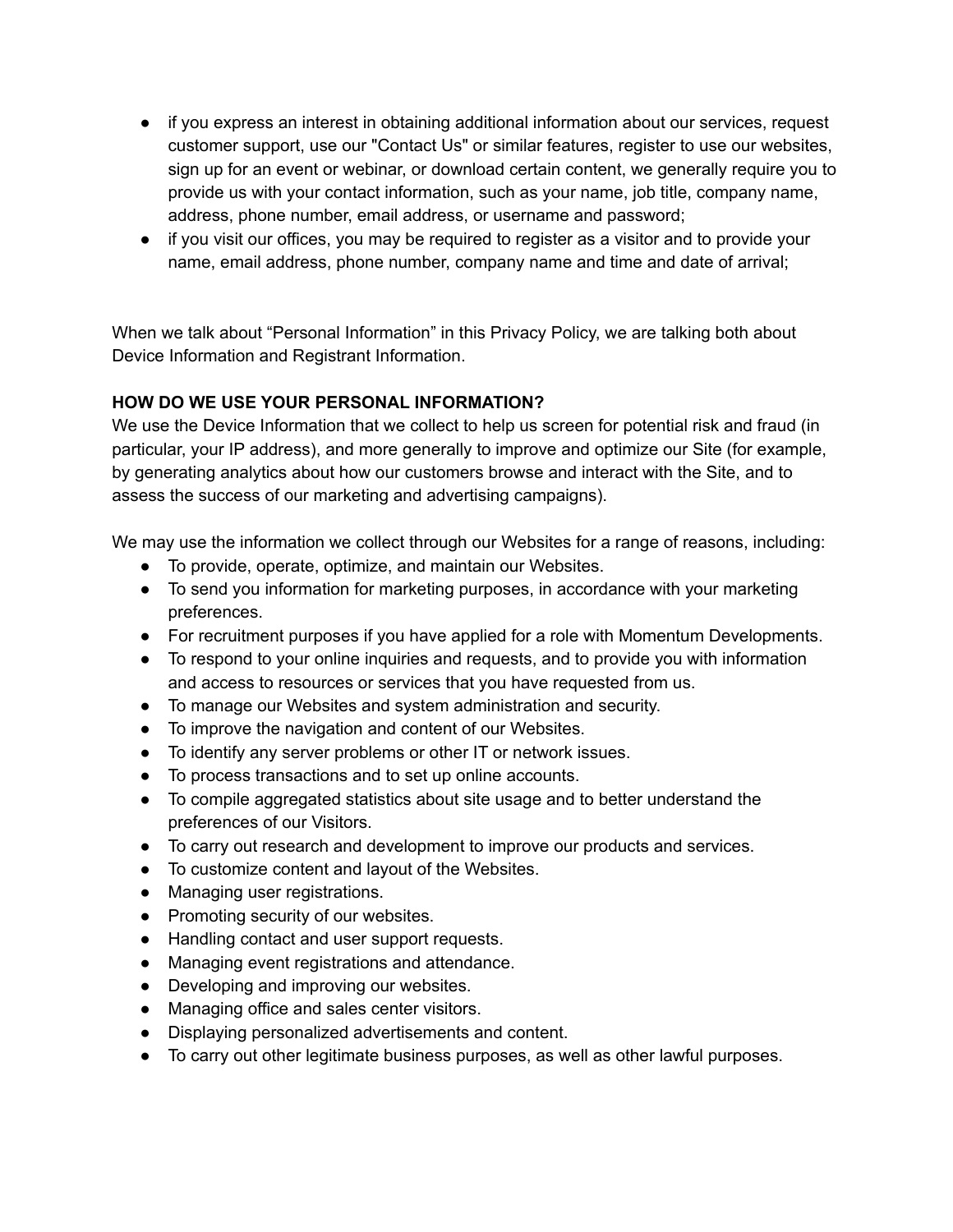- if you express an interest in obtaining additional information about our services, request customer support, use our "Contact Us" or similar features, register to use our websites, sign up for an event or webinar, or download certain content, we generally require you to provide us with your contact information, such as your name, job title, company name, address, phone number, email address, or username and password;
- if you visit our offices, you may be required to register as a visitor and to provide your name, email address, phone number, company name and time and date of arrival;

When we talk about "Personal Information" in this Privacy Policy, we are talking both about Device Information and Registrant Information.

## **HOW DO WE USE YOUR PERSONAL INFORMATION?**

We use the Device Information that we collect to help us screen for potential risk and fraud (in particular, your IP address), and more generally to improve and optimize our Site (for example, by generating analytics about how our customers browse and interact with the Site, and to assess the success of our marketing and advertising campaigns).

We may use the information we collect through our Websites for a range of reasons, including:

- To provide, operate, optimize, and maintain our Websites.
- To send you information for marketing purposes, in accordance with your marketing preferences.
- For recruitment purposes if you have applied for a role with Momentum Developments.
- To respond to your online inquiries and requests, and to provide you with information and access to resources or services that you have requested from us.
- To manage our Websites and system administration and security.
- To improve the navigation and content of our Websites.
- To identify any server problems or other IT or network issues.
- To process transactions and to set up online accounts.
- To compile aggregated statistics about site usage and to better understand the preferences of our Visitors.
- To carry out research and development to improve our products and services.
- To customize content and layout of the Websites.
- Managing user registrations.
- Promoting security of our websites.
- Handling contact and user support requests.
- Managing event registrations and attendance.
- Developing and improving our websites.
- Managing office and sales center visitors.
- Displaying personalized advertisements and content.
- To carry out other legitimate business purposes, as well as other lawful purposes.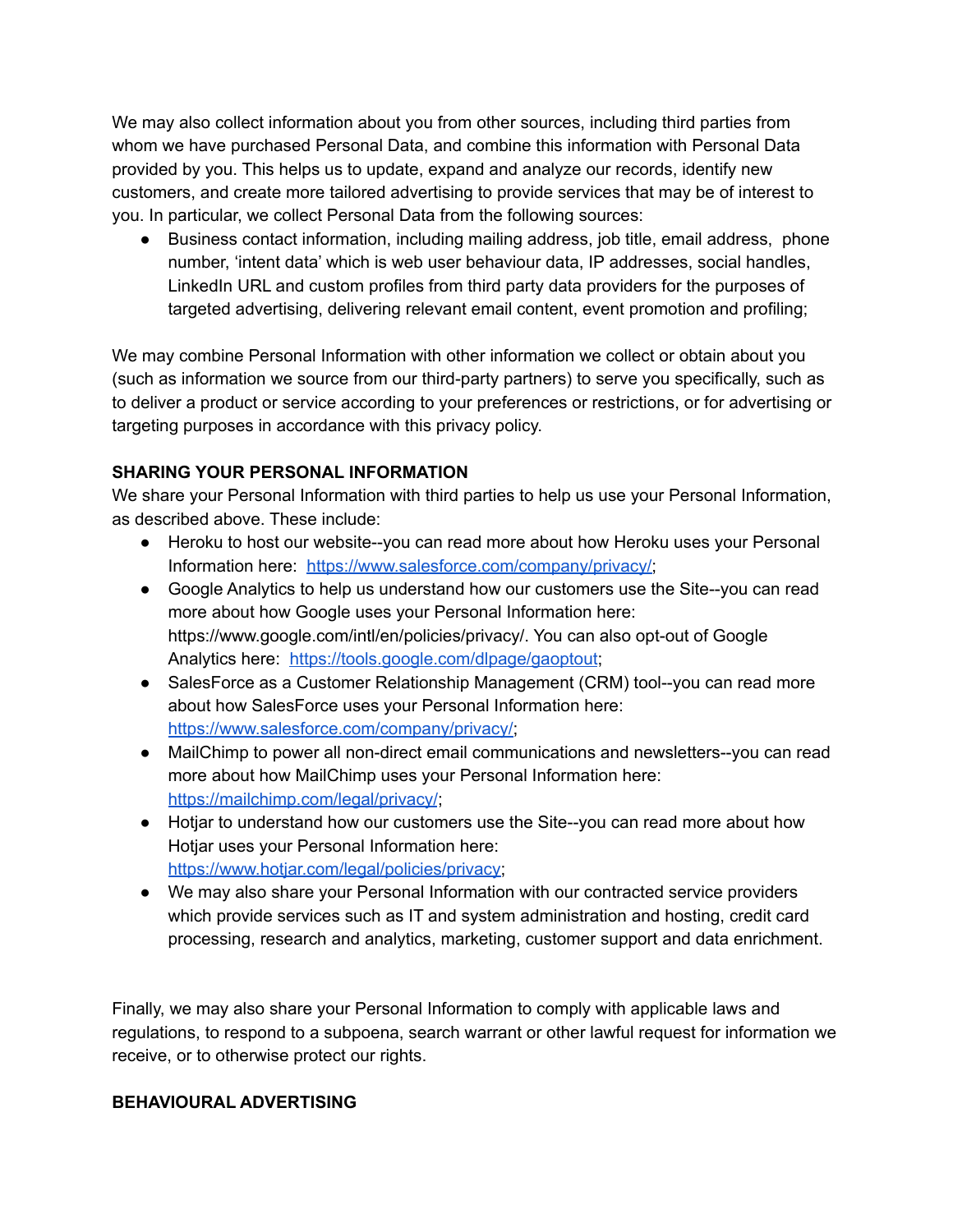We may also collect information about you from other sources, including third parties from whom we have purchased Personal Data, and combine this information with Personal Data provided by you. This helps us to update, expand and analyze our records, identify new customers, and create more tailored advertising to provide services that may be of interest to you. In particular, we collect Personal Data from the following sources:

● Business contact information, including mailing address, job title, email address, phone number, 'intent data' which is web user behaviour data, IP addresses, social handles, LinkedIn URL and custom profiles from third party data providers for the purposes of targeted advertising, delivering relevant email content, event promotion and profiling;

We may combine Personal Information with other information we collect or obtain about you (such as information we source from our third-party partners) to serve you specifically, such as to deliver a product or service according to your preferences or restrictions, or for advertising or targeting purposes in accordance with this privacy policy.

# **SHARING YOUR PERSONAL INFORMATION**

We share your Personal Information with third parties to help us use your Personal Information, as described above. These include:

- Heroku to host our website--you can read more about how Heroku uses your Personal Information here: [https://www.salesforce.com/company/privacy/;](https://www.salesforce.com/company/privacy/)
- Google Analytics to help us understand how our customers use the Site--you can read more about how Google uses your Personal Information here: https://www.google.com/intl/en/policies/privacy/. You can also opt-out of Google Analytics here: <https://tools.google.com/dlpage/gaoptout>;
- SalesForce as a Customer Relationship Management (CRM) tool--you can read more about how SalesForce uses your Personal Information here: [https://www.salesforce.com/company/privacy/;](https://www.salesforce.com/company/privacy/)
- MailChimp to power all non-direct email communications and newsletters--you can read more about how MailChimp uses your Personal Information here: <https://mailchimp.com/legal/privacy/>;
- Hotjar to understand how our customers use the Site--you can read more about how Hotjar uses your Personal Information here: [https://www.hotjar.com/legal/policies/privacy;](https://www.hotjar.com/legal/policies/privacy)
- We may also share your Personal Information with our contracted service providers which provide services such as IT and system administration and hosting, credit card processing, research and analytics, marketing, customer support and data enrichment.

Finally, we may also share your Personal Information to comply with applicable laws and regulations, to respond to a subpoena, search warrant or other lawful request for information we receive, or to otherwise protect our rights.

## **BEHAVIOURAL ADVERTISING**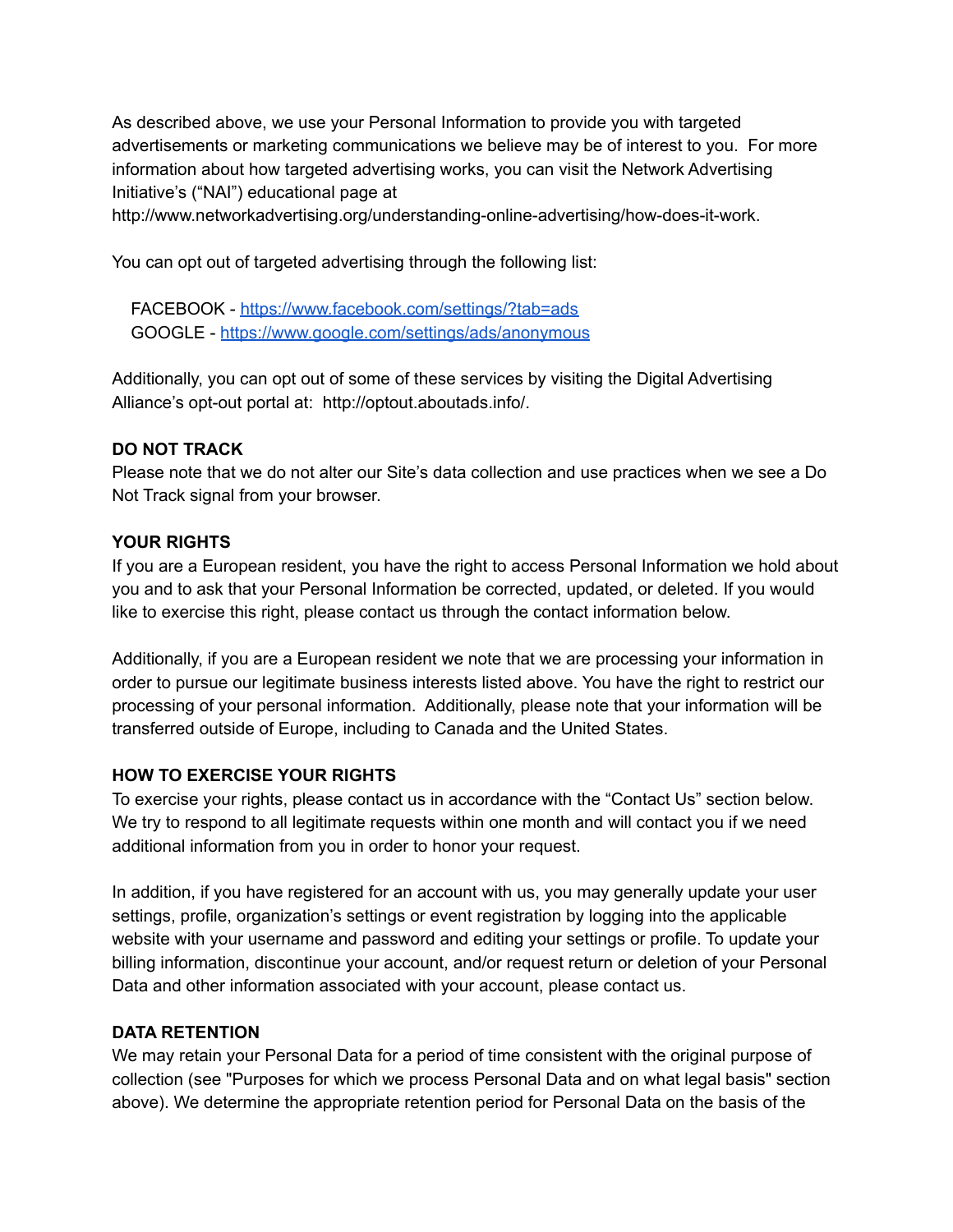As described above, we use your Personal Information to provide you with targeted advertisements or marketing communications we believe may be of interest to you. For more information about how targeted advertising works, you can visit the Network Advertising Initiative's ("NAI") educational page at

http://www.networkadvertising.org/understanding-online-advertising/how-does-it-work.

You can opt out of targeted advertising through the following list:

FACEBOOK - <https://www.facebook.com/settings/?tab=ads> GOOGLE - <https://www.google.com/settings/ads/anonymous>

Additionally, you can opt out of some of these services by visiting the Digital Advertising Alliance's opt-out portal at: http://optout.aboutads.info/.

#### **DO NOT TRACK**

Please note that we do not alter our Site's data collection and use practices when we see a Do Not Track signal from your browser.

## **YOUR RIGHTS**

If you are a European resident, you have the right to access Personal Information we hold about you and to ask that your Personal Information be corrected, updated, or deleted. If you would like to exercise this right, please contact us through the contact information below.

Additionally, if you are a European resident we note that we are processing your information in order to pursue our legitimate business interests listed above. You have the right to restrict our processing of your personal information. Additionally, please note that your information will be transferred outside of Europe, including to Canada and the United States.

## **HOW TO EXERCISE YOUR RIGHTS**

To exercise your rights, please contact us in accordance with the "Contact Us" section below. We try to respond to all legitimate requests within one month and will contact you if we need additional information from you in order to honor your request.

In addition, if you have registered for an account with us, you may generally update your user settings, profile, organization's settings or event registration by logging into the applicable website with your username and password and editing your settings or profile. To update your billing information, discontinue your account, and/or request return or deletion of your Personal Data and other information associated with your account, please contact us.

## **DATA RETENTION**

We may retain your Personal Data for a period of time consistent with the original purpose of collection (see "Purposes for which we process Personal Data and on what legal basis" section above). We determine the appropriate retention period for Personal Data on the basis of the